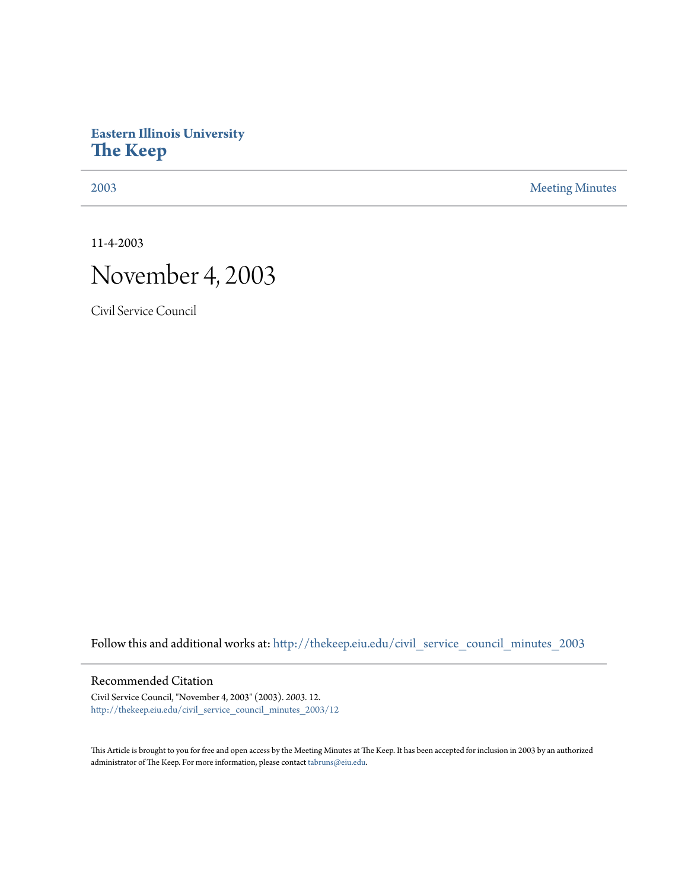## **Eastern Illinois University [The Keep](http://thekeep.eiu.edu?utm_source=thekeep.eiu.edu%2Fcivil_service_council_minutes_2003%2F12&utm_medium=PDF&utm_campaign=PDFCoverPages)**

[2003](http://thekeep.eiu.edu/civil_service_council_minutes_2003?utm_source=thekeep.eiu.edu%2Fcivil_service_council_minutes_2003%2F12&utm_medium=PDF&utm_campaign=PDFCoverPages) [Meeting Minutes](http://thekeep.eiu.edu/civil_service_council_minutes?utm_source=thekeep.eiu.edu%2Fcivil_service_council_minutes_2003%2F12&utm_medium=PDF&utm_campaign=PDFCoverPages)

11-4-2003

# November 4, 2003

Civil Service Council

Follow this and additional works at: [http://thekeep.eiu.edu/civil\\_service\\_council\\_minutes\\_2003](http://thekeep.eiu.edu/civil_service_council_minutes_2003?utm_source=thekeep.eiu.edu%2Fcivil_service_council_minutes_2003%2F12&utm_medium=PDF&utm_campaign=PDFCoverPages)

#### Recommended Citation

Civil Service Council, "November 4, 2003" (2003). *2003*. 12. [http://thekeep.eiu.edu/civil\\_service\\_council\\_minutes\\_2003/12](http://thekeep.eiu.edu/civil_service_council_minutes_2003/12?utm_source=thekeep.eiu.edu%2Fcivil_service_council_minutes_2003%2F12&utm_medium=PDF&utm_campaign=PDFCoverPages)

This Article is brought to you for free and open access by the Meeting Minutes at The Keep. It has been accepted for inclusion in 2003 by an authorized administrator of The Keep. For more information, please contact [tabruns@eiu.edu.](mailto:tabruns@eiu.edu)